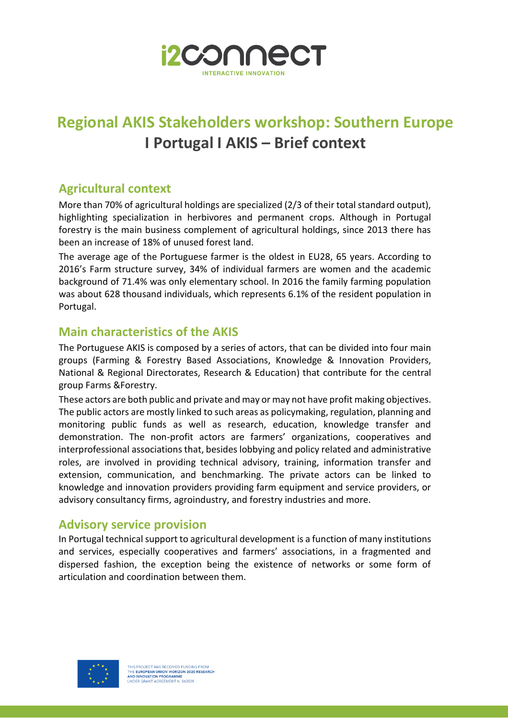

## **Regional AKIS Stakeholders workshop: Southern Europe I Portugal I AKIS – Brief context**

## **Agricultural context**

More than 70% of agricultural holdings are specialized (2/3 of their total standard output), highlighting specialization in herbivores and permanent crops. Although in Portugal forestry is the main business complement of agricultural holdings, since 2013 there has been an increase of 18% of unused forest land.

The average age of the Portuguese farmer is the oldest in EU28, 65 years. According to 2016's Farm structure survey, 34% of individual farmers are women and the academic background of 71.4% was only elementary school. In 2016 the family farming population was about 628 thousand individuals, which represents 6.1% of the resident population in Portugal.

## **Main characteristics of the AKIS**

The Portuguese AKIS is composed by a series of actors, that can be divided into four main groups (Farming & Forestry Based Associations, Knowledge & Innovation Providers, National & Regional Directorates, Research & Education) that contribute for the central group Farms &Forestry.

These actors are both public and private and may or may not have profit making objectives. The public actors are mostly linked to such areas as policymaking, regulation, planning and monitoring public funds as well as research, education, knowledge transfer and demonstration. The non-profit actors are farmers' organizations, cooperatives and interprofessional associations that, besides lobbying and policy related and administrative roles, are involved in providing technical advisory, training, information transfer and extension, communication, and benchmarking. The private actors can be linked to knowledge and innovation providers providing farm equipment and service providers, or advisory consultancy firms, agroindustry, and forestry industries and more.

## **Advisory service provision**

In Portugal technical support to agricultural development is a function of many institutions and services, especially cooperatives and farmers' associations, in a fragmented and dispersed fashion, the exception being the existence of networks or some form of articulation and coordination between them.